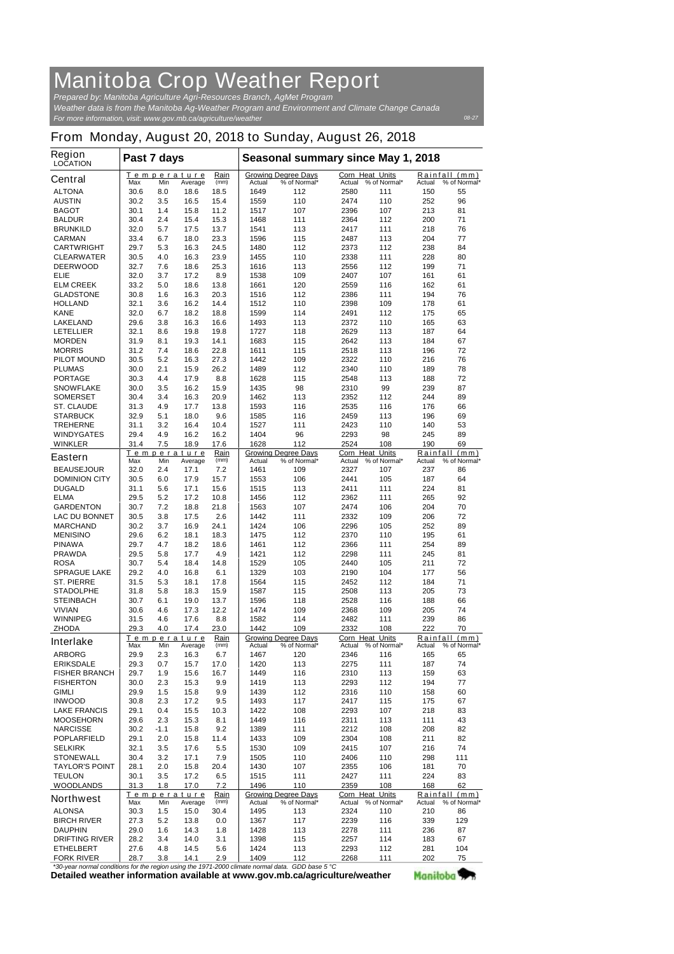## **Manitoba Crop Weather Report** *Prepared by: Manitoba Agriculture Agri-Resources Branch, AgMet Program*

*For more information, visit: www.gov.mb.ca/agriculture/weather Weather data is from the Manitoba Ag-Weather Program and Environment and Climate Change Canada*

## **From Monday, August 20, 2018 to Sunday, August 26, 2018**

| <b>Region</b><br><b>LOCATION</b>                                                   | Past 7 days  |             |                               |                     | Seasonal summary since May 1, 2018 |                                            |                                               |                              |                    |                                      |
|------------------------------------------------------------------------------------|--------------|-------------|-------------------------------|---------------------|------------------------------------|--------------------------------------------|-----------------------------------------------|------------------------------|--------------------|--------------------------------------|
| <b>Central</b>                                                                     | Max          | Min         | Temperature<br>Average        | Rain<br>(mm)        | Actual                             | <b>Growing Degree Days</b><br>% of Normal* | <b>Corn Heat Units</b><br>Actual % of Normal* |                              | Actual             | Rainfall (mm)<br>% of Normal*        |
| <b>ALTONA</b>                                                                      | 30.6         | 8.0         | 18.6                          | 18.5                | 1649                               | 112                                        | 2580                                          | 111                          | 150                | 55                                   |
| <b>AUSTIN</b>                                                                      | 30.2         | 3.5         | 16.5                          | 15.4                | 1559                               | 110                                        | 2474                                          | 110                          | 252                | 96                                   |
| <b>BAGOT</b>                                                                       | 30.1         | 1.4         | 15.8                          | 11.2                | 1517                               | 107                                        | 2396                                          | 107                          | 213                | 81                                   |
| <b>BALDUR</b><br><b>BRUNKILD</b>                                                   | 30.4<br>32.0 | 2.4<br>5.7  | 15.4<br>17.5                  | 15.3<br>13.7        | 1468<br>1541                       | 111<br>113                                 | 2364<br>2417                                  | 112<br>111                   | 200<br>218         | 71<br>76                             |
| <b>CARMAN</b>                                                                      | 33.4         | 6.7         | 18.0                          | 23.3                | 1596                               | 115                                        | 2487                                          | 113                          | 204                | 77                                   |
| <b>CARTWRIGHT</b>                                                                  | 29.7         | 5.3         | 16.3                          | 24.5                | 1480                               | 112                                        | 2373                                          | 112                          | 238                | 84                                   |
| <b>CLEARWATER</b>                                                                  | 30.5         | 4.0         | 16.3                          | 23.9                | 1455                               | 110                                        | 2338                                          | 111                          | 228                | 80                                   |
| <b>DEERWOOD</b>                                                                    | 32.7         | 7.6         | 18.6                          | 25.3                | 1616                               | 113                                        | 2556                                          | 112                          | 199                | 71                                   |
| ELIE                                                                               | 32.0         | 3.7         | 17.2                          | 8.9                 | 1538                               | 109                                        | 2407                                          | 107                          | 161                | 61                                   |
| <b>ELM CREEK</b>                                                                   | 33.2         | 5.0         | 18.6                          | 13.8                | 1661                               | 120                                        | 2559                                          | 116                          | 162                | 61                                   |
| <b>GLADSTONE</b><br><b>HOLLAND</b>                                                 | 30.8<br>32.1 | 1.6<br>3.6  | 16.3<br>16.2                  | 20.3<br>14.4        | 1516<br>1512                       | 112<br>110                                 | 2386<br>2398                                  | 111<br>109                   | 194<br>178         | 76<br>61                             |
| <b>KANE</b>                                                                        | 32.0         | 6.7         | 18.2                          | 18.8                | 1599                               | 114                                        | 2491                                          | 112                          | 175                | 65                                   |
| <b>LAKELAND</b>                                                                    | 29.6         | 3.8         | 16.3                          | 16.6                | 1493                               | 113                                        | 2372                                          | 110                          | 165                | 63                                   |
| <b>LETELLIER</b>                                                                   | 32.1         | 8.6         | 19.8                          | 19.8                | 1727                               | 118                                        | 2629                                          | 113                          | 187                | 64                                   |
| <b>MORDEN</b>                                                                      | 31.9         | 8.1         | 19.3                          | 14.1                | 1683                               | 115                                        | 2642                                          | 113                          | 184                | 67                                   |
| <b>MORRIS</b>                                                                      | 31.2         | 7.4         | 18.6                          | 22.8                | 1611                               | 115                                        | 2518                                          | 113                          | 196                | 72                                   |
| <b>PILOT MOUND</b>                                                                 | 30.5         | 5.2         | 16.3                          | 27.3                | 1442                               | 109                                        | 2322                                          | 110                          | 216                | 76                                   |
| <b>PLUMAS</b><br><b>PORTAGE</b>                                                    | 30.0<br>30.3 | 2.1<br>4.4  | 15.9<br>17.9                  | 26.2<br>8.8         | 1489<br>1628                       | 112<br>115                                 | 2340<br>2548                                  | 110<br>113                   | 189<br>188         | 78<br>72                             |
| <b>SNOWFLAKE</b>                                                                   | 30.0         | 3.5         | 16.2                          | 15.9                | 1435                               | 98                                         | 2310                                          | 99                           | 239                | 87                                   |
| <b>SOMERSET</b>                                                                    | 30.4         | 3.4         | 16.3                          | 20.9                | 1462                               | 113                                        | 2352                                          | 112                          | 244                | 89                                   |
| <b>ST. CLAUDE</b>                                                                  | 31.3         | 4.9         | 17.7                          | 13.8                | 1593                               | 116                                        | 2535                                          | 116                          | 176                | 66                                   |
| <b>STARBUCK</b>                                                                    | 32.9         | 5.1         | 18.0                          | 9.6                 | 1585                               | 116                                        | 2459                                          | 113                          | 196                | 69                                   |
| <b>TREHERNE</b>                                                                    | 31.1         | 3.2         | 16.4                          | 10.4                | 1527                               | 111                                        | 2423                                          | 110                          | 140                | 53                                   |
| <b>WINDYGATES</b>                                                                  | 29.4         | 4.9         | 16.2                          | 16.2                | 1404                               | 96                                         | 2293                                          | 98                           | 245                | 89                                   |
| <b>WINKLER</b>                                                                     | 31.4         | 7.5         | 18.9                          | 17.6                | 1628                               | 112                                        | 2524                                          | 108                          | 190                | 69                                   |
| <b>Eastern</b>                                                                     | Max          | Min         | Temperature<br>Average        | Rain<br>(mm)        | Actual                             | <b>Growing Degree Days</b><br>% of Normal* | Corn Heat<br>Actual                           | <b>Units</b><br>% of Normal* | Rainfall<br>Actual | (mm)<br>% of Normal*                 |
| <b>BEAUSEJOUR</b>                                                                  | 32.0         | 2.4         | 17.1                          | 7.2                 | 1461                               | 109                                        | 2327                                          | 107                          | 237                | 86                                   |
| <b>DOMINION CITY</b>                                                               | 30.5         | 6.0         | 17.9                          | 15.7                | 1553                               | 106                                        | 2441                                          | 105                          | 187                | 64                                   |
| <b>DUGALD</b>                                                                      | 31.1         | 5.6         | 17.1                          | 15.6                | 1515                               | 113                                        | 2411                                          | 111                          | 224                | 81                                   |
| <b>ELMA</b><br><b>GARDENTON</b>                                                    | 29.5         | 5.2         | 17.2                          | 10.8                | 1456<br>1563                       | 112                                        | 2362                                          | 111                          | 265<br>204         | 92<br>70                             |
| <b>LAC DU BONNET</b>                                                               | 30.7<br>30.5 | 7.2<br>3.8  | 18.8<br>17.5                  | 21.8<br>2.6         | 1442                               | 107<br>111                                 | 2474<br>2332                                  | 106<br>109                   | 206                | 72                                   |
| <b>MARCHAND</b>                                                                    | 30.2         | 3.7         | 16.9                          | 24.1                | 1424                               | 106                                        | 2296                                          | 105                          | 252                | 89                                   |
| <b>MENISINO</b>                                                                    | 29.6         | 6.2         | 18.1                          | 18.3                | 1475                               | 112                                        | 2370                                          | 110                          | 195                | 61                                   |
| <b>PINAWA</b>                                                                      | 29.7         | 4.7         | 18.2                          | 18.6                | 1461                               | 112                                        | 2366                                          | 111                          | 254                | 89                                   |
| <b>PRAWDA</b>                                                                      | 29.5         | 5.8         | 17.7                          | 4.9                 | 1421                               | 112                                        | 2298                                          | 111                          | 245                | 81                                   |
| <b>ROSA</b>                                                                        | 30.7         | 5.4         | 18.4                          | 14.8                | 1529                               | 105                                        | 2440                                          | 105                          | 211                | 72                                   |
| <b>SPRAGUE LAKE</b><br><b>ST. PIERRE</b>                                           | 29.2         | 4.0         | 16.8                          | 6.1                 | 1329                               | 103                                        | 2190                                          | 104                          | 177                | 56                                   |
| <b>STADOLPHE</b>                                                                   | 31.5<br>31.8 | 5.3<br>5.8  | 18.1<br>18.3                  | 17.8<br>15.9        | 1564<br>1587                       | 115<br>115                                 | 2452<br>2508                                  | 112<br>113                   | 184<br>205         | 71<br>73                             |
| <b>STEINBACH</b>                                                                   | 30.7         | 6.1         | 19.0                          | 13.7                | 1596                               | 118                                        | 2528                                          | 116                          | 188                | 66                                   |
| <b>VIVIAN</b>                                                                      | 30.6         | 4.6         | 17.3                          | 12.2                | 1474                               | 109                                        | 2368                                          | 109                          | 205                | 74                                   |
| <b>WINNIPEG</b>                                                                    | 31.5         | 4.6         | 17.6                          | 8.8                 | 1582                               | 114                                        | 2482                                          | 111                          | 239                | 86                                   |
| <b>ZHODA</b>                                                                       | 29.3         | 4.0         | 17.4                          | 23.0                | 1442                               | 109                                        | 2332                                          | 108                          | 222                | 70                                   |
| <b>Interlake</b>                                                                   | Max          | Min         | Temperature                   | Rain<br>(mm)        | Actual                             | <b>Growing Degree Days</b><br>% of Normal* | <b>Corn Heat Units</b><br>Actual              | % of Normal*                 | Actual             | Rainfall (mm)<br>% of Normal*        |
| <b>ARBORG</b>                                                                      | 29.9         | 2.3         | Average<br>16.3               | 6.7                 | 1467                               | 120                                        | 2346                                          | 116                          | 165                | 65                                   |
| <b>ERIKSDALE</b>                                                                   | 29.3         | 0.7         | 15.7                          | 17.0                | 1420                               | 113                                        | 2275                                          | 111                          | 187                | 74                                   |
| <b>FISHER BRANCH</b>                                                               | 29.7         | 1.9         | 15.6                          | 16.7                | 1449                               | 116                                        | 2310                                          | 113                          | 159                | 63                                   |
| <b>FISHERTON</b>                                                                   | 30.0         | 2.3         | 15.3                          | 9.9                 | 1419                               | 113                                        | 2293                                          | 112                          | 194                | 77                                   |
| <b>GIMLI</b>                                                                       | 29.9         | 1.5         | 15.8                          | 9.9                 | 1439                               | 112                                        | 2316                                          | 110                          | 158                | 60                                   |
| <b>INWOOD</b>                                                                      | 30.8         | 2.3         | 17.2                          | 9.5                 | 1493                               | 117                                        | 2417                                          | 115                          | 175                | 67                                   |
| <b>LAKE FRANCIS</b>                                                                | 29.1         | 0.4         | 15.5                          | 10.3                | 1422                               | 108                                        | 2293                                          | 107                          | 218                | 83                                   |
| <b>MOOSEHORN</b><br><b>NARCISSE</b>                                                | 29.6<br>30.2 | 2.3<br>-1.1 | 15.3<br>15.8                  | 8.1<br>9.2          | 1449<br>1389                       | 116<br>111                                 | 2311<br>2212                                  | 113<br>108                   | 111<br>208         | 43<br>82                             |
| <b>POPLARFIELD</b>                                                                 | 29.1         | 2.0         | 15.8                          | 11.4                | 1433                               | 109                                        | 2304                                          | 108                          | 211                | 82                                   |
| <b>SELKIRK</b>                                                                     | 32.1         | 3.5         | 17.6                          | 5.5                 | 1530                               | 109                                        | 2415                                          | 107                          | 216                | 74                                   |
| <b>STONEWALL</b>                                                                   | 30.4         | 3.2         | 17.1                          | 7.9                 | 1505                               | 110                                        | 2406                                          | 110                          | 298                | 111                                  |
| <b>TAYLOR'S POINT</b>                                                              | 28.1         | 2.0         | 15.8                          | 20.4                | 1430                               | 107                                        | 2355                                          | 106                          | 181                | 70                                   |
| <b>TEULON</b>                                                                      | 30.1         | 3.5         | 17.2                          | 6.5                 | 1515                               | 111                                        | 2427                                          | 111                          | 224                | 83                                   |
| <b>WOODLANDS</b>                                                                   | 31.3         | 1.8         | 17.0                          | 7.2                 | 1496                               | 110                                        | 2359                                          | 108                          | 168                | 62                                   |
| <b>Northwest</b>                                                                   | Max          | Min         | <u>Temperature</u><br>Average | <b>Rain</b><br>(mm) | Actual                             | <b>Growing Degree Days</b><br>% of Normal* | Corn Heat Units                               | Actual % of Normal*          | Actual             | <u>Rainfall (mm)</u><br>% of Normal* |
| <b>ALONSA</b>                                                                      | 30.3         | 1.5         | 15.0                          | 30.4                | 1495                               | 113                                        | 2324                                          | 110                          | 210                | 86                                   |
| <b>BIRCH RIVER</b>                                                                 | 27.3         | 5.2         | 13.8                          | 0.0                 | 1367                               | 117                                        | 2239                                          | 116                          | 339                | 129                                  |
| <b>DAUPHIN</b>                                                                     | 29.0         | 1.6         | 14.3                          | 1.8                 | 1428                               | 113                                        | 2278                                          | 111                          | 236                | 87                                   |
| <b>DRIFTING RIVER</b>                                                              | 28.2         | 3.4         | 14.0                          | 3.1                 | 1398                               | 115                                        | 2257                                          | 114                          | 183                | 67                                   |
| <b>ETHELBERT</b>                                                                   | 27.6         | 4.8         | 14.5                          | 5.6                 | 1424                               | 113                                        | 2293                                          | 112                          | 281                | 104                                  |
| <b>FORK RIVER</b><br>armal conditions for the region uping the 1071.3000 elimete n | 28.7         | 3.8         | 14.1                          | 2.9                 | 1409<br>rad also                   | 112<br>$CDD$ hoog $E \, \Omega$            | 2268                                          | 111                          | 202                | 75                                   |

**Detailed weather information available at www.gov.mb.ca/agriculture/weather** *\*30-year normal conditions for the region using the 1971-2000 climate normal data. GDD base 5 °C* Manitoba<sup>y</sup>